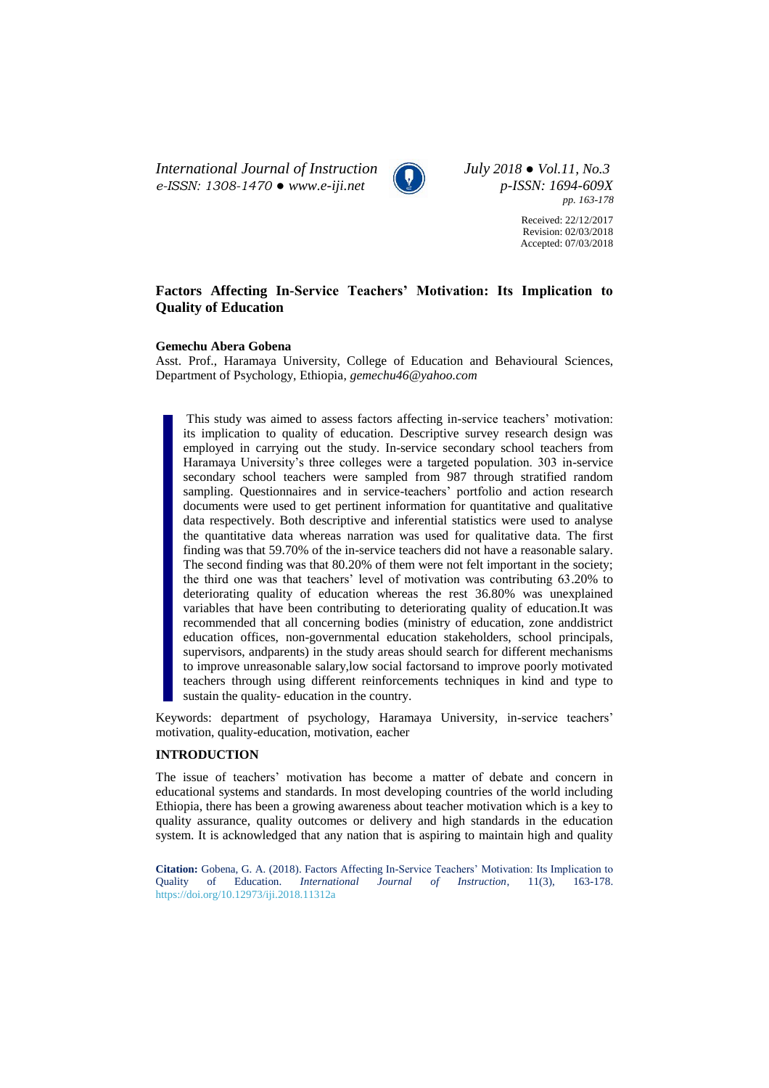*International Journal of Instruction July 2018 ● Vol.11, No.3 e-ISSN: 1308-1470 ● [www.e-iji.net](http://www.e-iji.net/) p-ISSN: 1694-609X*



*pp. 163-178*

Received: 22/12/2017 Revision: 02/03/2018 Accepted: 07/03/2018

# **Factors Affecting In-Service Teachers' Motivation: Its Implication to Quality of Education**

#### **Gemechu Abera Gobena**

Asst. Prof., Haramaya University, College of Education and Behavioural Sciences, Department of Psychology, Ethiopia, *gemechu46@yahoo.com*

This study was aimed to assess factors affecting in-service teachers' motivation: its implication to quality of education. Descriptive survey research design was employed in carrying out the study. In-service secondary school teachers from Haramaya University's three colleges were a targeted population. 303 in-service secondary school teachers were sampled from 987 through stratified random sampling. Questionnaires and in service-teachers' portfolio and action research documents were used to get pertinent information for quantitative and qualitative data respectively. Both descriptive and inferential statistics were used to analyse the quantitative data whereas narration was used for qualitative data. The first finding was that 59.70% of the in-service teachers did not have a reasonable salary. The second finding was that 80.20% of them were not felt important in the society; the third one was that teachers' level of motivation was contributing 63.20% to deteriorating quality of education whereas the rest 36.80% was unexplained variables that have been contributing to deteriorating quality of education.It was recommended that all concerning bodies (ministry of education, zone anddistrict education offices, non-governmental education stakeholders, school principals, supervisors, andparents) in the study areas should search for different mechanisms to improve unreasonable salary,low social factorsand to improve poorly motivated teachers through using different reinforcements techniques in kind and type to sustain the quality- education in the country.

Keywords: department of psychology, Haramaya University, in-service teachers' motivation, quality-education, motivation, eacher

## **INTRODUCTION**

The issue of teachers' motivation has become a matter of debate and concern in educational systems and standards. In most developing countries of the world including Ethiopia, there has been a growing awareness about teacher motivation which is a key to quality assurance, quality outcomes or delivery and high standards in the education system. It is acknowledged that any nation that is aspiring to maintain high and quality

**Citation:** Gobena, G. A. (2018). Factors Affecting In-Service Teachers' Motivation: Its Implication to Quality of Education. *International Journal of Instruction*, 11(3), 163-178. <https://doi.org/10.12973/iji.2018.11312a>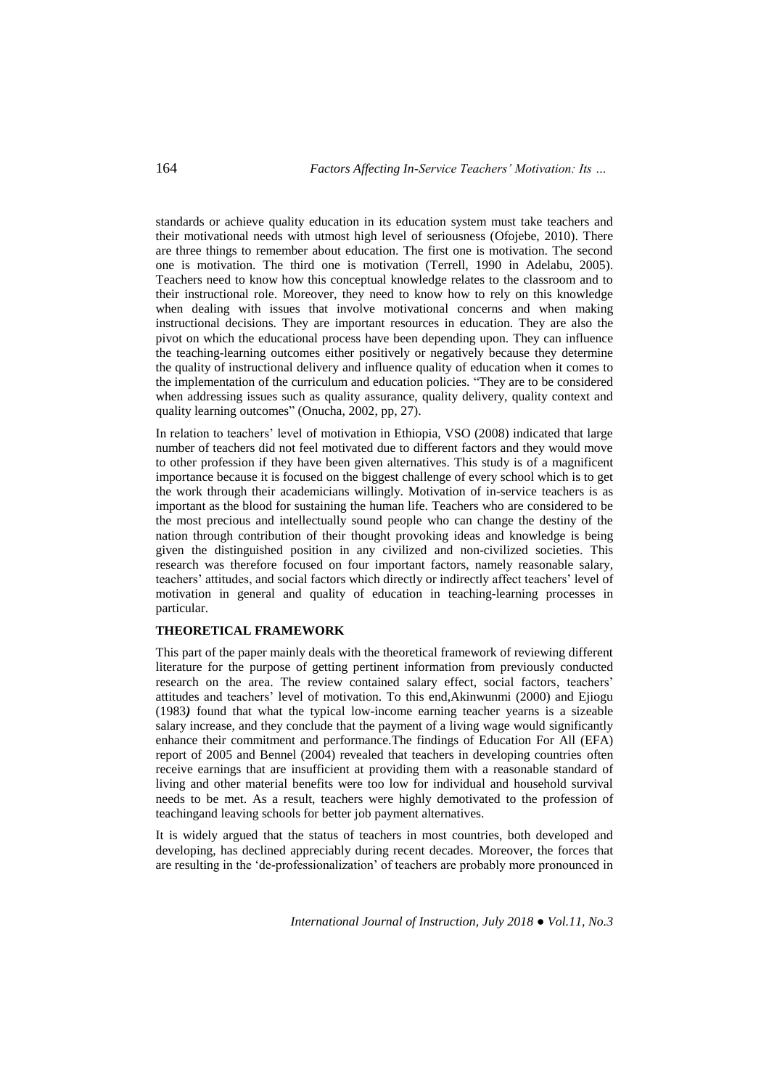standards or achieve quality education in its education system must take teachers and their motivational needs with utmost high level of seriousness (Ofojebe, 2010). There are three things to remember about education. The first one is motivation. The second one is motivation. The third one is motivation (Terrell, 1990 in Adelabu, 2005). Teachers need to know how this conceptual knowledge relates to the classroom and to their instructional role. Moreover, they need to know how to rely on this knowledge when dealing with issues that involve motivational concerns and when making instructional decisions. They are important resources in education. They are also the pivot on which the educational process have been depending upon. They can influence the teaching-learning outcomes either positively or negatively because they determine the quality of instructional delivery and influence quality of education when it comes to the implementation of the curriculum and education policies. "They are to be considered when addressing issues such as quality assurance, quality delivery, quality context and quality learning outcomes" (Onucha, 2002, pp, 27).

In relation to teachers' level of motivation in Ethiopia, VSO (2008) indicated that large number of teachers did not feel motivated due to different factors and they would move to other profession if they have been given alternatives. This study is of a magnificent importance because it is focused on the biggest challenge of every school which is to get the work through their academicians willingly. Motivation of in-service teachers is as important as the blood for sustaining the human life. Teachers who are considered to be the most precious and intellectually sound people who can change the destiny of the nation through contribution of their thought provoking ideas and knowledge is being given the distinguished position in any civilized and non-civilized societies. This research was therefore focused on four important factors, namely reasonable salary, teachers' attitudes, and social factors which directly or indirectly affect teachers' level of motivation in general and quality of education in teaching-learning processes in particular.

## **THEORETICAL FRAMEWORK**

This part of the paper mainly deals with the theoretical framework of reviewing different literature for the purpose of getting pertinent information from previously conducted research on the area. The review contained salary effect, social factors, teachers' attitudes and teachers' level of motivation. To this end,Akinwunmi (2000) and Ejiogu (1983*)* found that what the typical low-income earning teacher yearns is a sizeable salary increase, and they conclude that the payment of a living wage would significantly enhance their commitment and performance*.*The findings of Education For All (EFA) report of 2005 and Bennel (2004) revealed that teachers in developing countries often receive earnings that are insufficient at providing them with a reasonable standard of living and other material benefits were too low for individual and household survival needs to be met. As a result, teachers were highly demotivated to the profession of teachingand leaving schools for better job payment alternatives.

It is widely argued that the status of teachers in most countries, both developed and developing, has declined appreciably during recent decades. Moreover, the forces that are resulting in the 'de-professionalization' of teachers are probably more pronounced in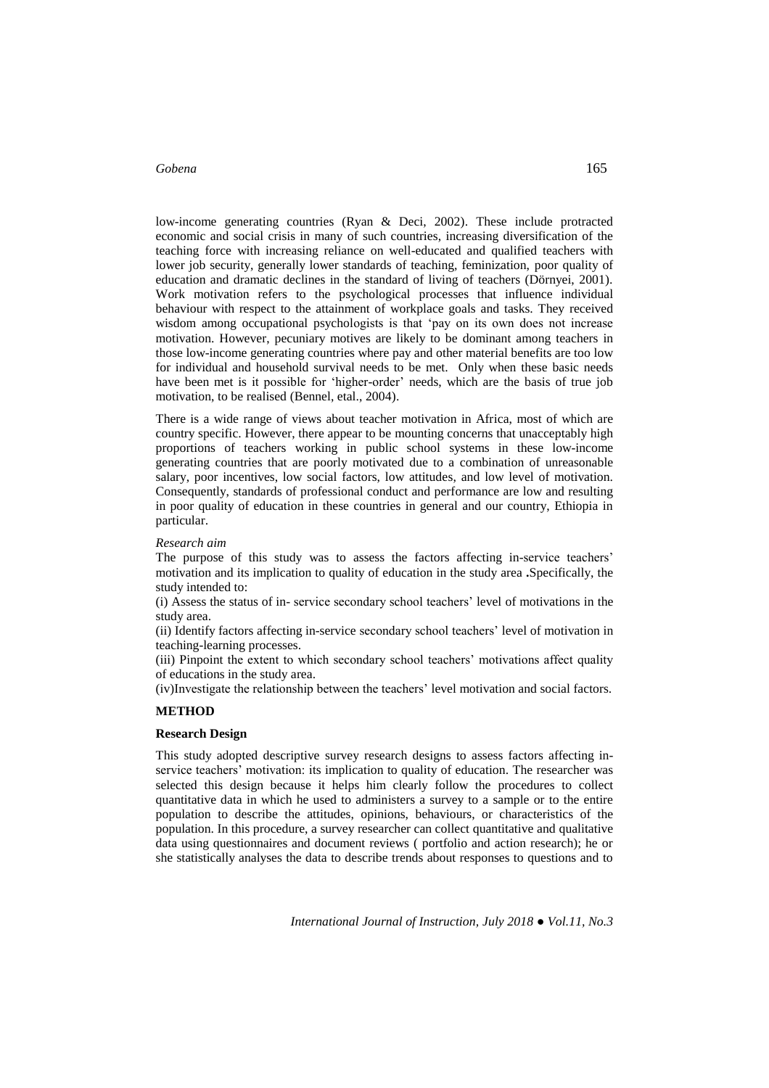low-income generating countries (Ryan & Deci, 2002). These include protracted economic and social crisis in many of such countries, increasing diversification of the teaching force with increasing reliance on well-educated and qualified teachers with lower job security, generally lower standards of teaching, feminization, poor quality of education and dramatic declines in the standard of living of teachers (Dörnyei, 2001). Work motivation refers to the psychological processes that influence individual behaviour with respect to the attainment of workplace goals and tasks. They received wisdom among occupational psychologists is that 'pay on its own does not increase motivation. However, pecuniary motives are likely to be dominant among teachers in those low-income generating countries where pay and other material benefits are too low for individual and household survival needs to be met. Only when these basic needs have been met is it possible for 'higher-order' needs, which are the basis of true job motivation, to be realised (Bennel, etal., 2004).

There is a wide range of views about teacher motivation in Africa, most of which are country specific. However, there appear to be mounting concerns that unacceptably high proportions of teachers working in public school systems in these low-income generating countries that are poorly motivated due to a combination of unreasonable salary, poor incentives, low social factors, low attitudes, and low level of motivation. Consequently, standards of professional conduct and performance are low and resulting in poor quality of education in these countries in general and our country, Ethiopia in particular.

#### *Research aim*

The purpose of this study was to assess the factors affecting in-service teachers' motivation and its implication to quality of education in the study area **.**Specifically, the study intended to:

(i) Assess the status of in- service secondary school teachers' level of motivations in the study area.

(ii) Identify factors affecting in-service secondary school teachers' level of motivation in teaching-learning processes.

(iii) Pinpoint the extent to which secondary school teachers' motivations affect quality of educations in the study area.

(iv)Investigate the relationship between the teachers' level motivation and social factors.

#### **METHOD**

#### **Research Design**

This study adopted descriptive survey research designs to assess factors affecting inservice teachers' motivation: its implication to quality of education. The researcher was selected this design because it helps him clearly follow the procedures to collect quantitative data in which he used to administers a survey to a sample or to the entire population to describe the attitudes, opinions, behaviours, or characteristics of the population. In this procedure, a survey researcher can collect quantitative and qualitative data using questionnaires and document reviews ( portfolio and action research); he or she statistically analyses the data to describe trends about responses to questions and to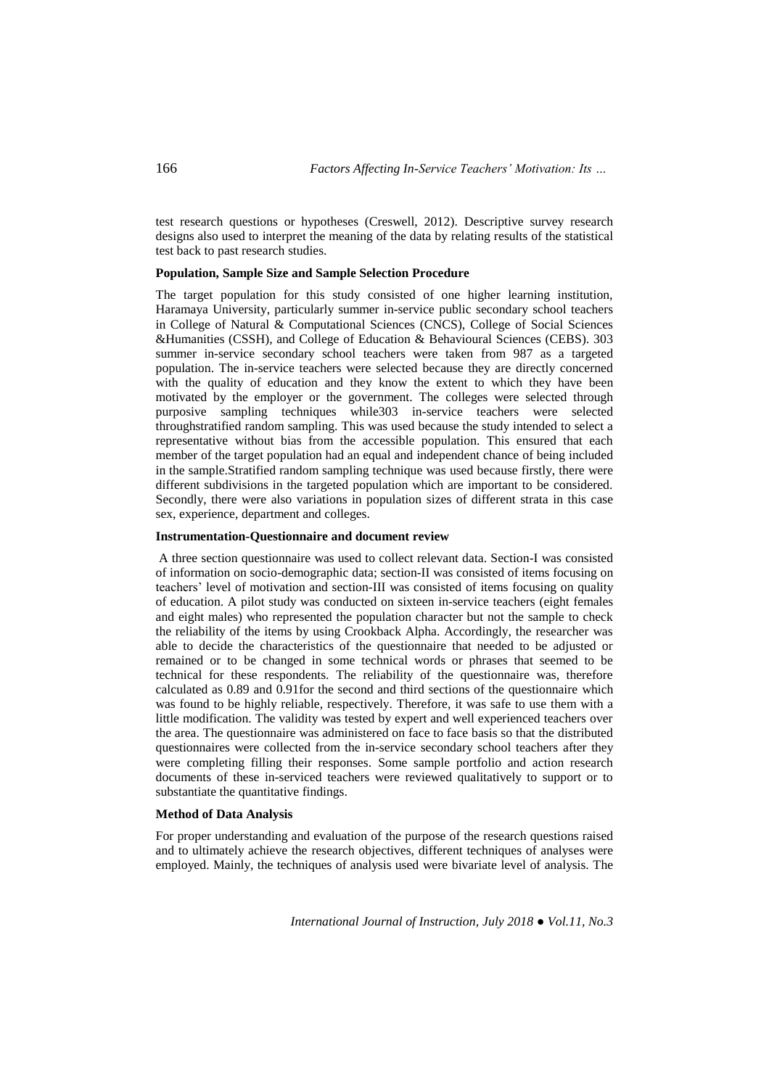test research questions or hypotheses (Creswell, 2012). Descriptive survey research designs also used to interpret the meaning of the data by relating results of the statistical test back to past research studies.

#### **Population, Sample Size and Sample Selection Procedure**

The target population for this study consisted of one higher learning institution, Haramaya University, particularly summer in-service public secondary school teachers in College of Natural & Computational Sciences (CNCS), College of Social Sciences &Humanities (CSSH), and College of Education & Behavioural Sciences (CEBS). 303 summer in-service secondary school teachers were taken from 987 as a targeted population. The in-service teachers were selected because they are directly concerned with the quality of education and they know the extent to which they have been motivated by the employer or the government. The colleges were selected through purposive sampling techniques while303 in-service teachers were selected throughstratified random sampling. This was used because the study intended to select a representative without bias from the accessible population. This ensured that each member of the target population had an equal and independent chance of being included in the sample.Stratified random sampling technique was used because firstly, there were different subdivisions in the targeted population which are important to be considered. Secondly, there were also variations in population sizes of different strata in this case sex, experience, department and colleges.

#### **Instrumentation-Questionnaire and document review**

A three section questionnaire was used to collect relevant data. Section-I was consisted of information on socio-demographic data; section-II was consisted of items focusing on teachers' level of motivation and section-III was consisted of items focusing on quality of education. A pilot study was conducted on sixteen in-service teachers (eight females and eight males) who represented the population character but not the sample to check the reliability of the items by using Crookback Alpha. Accordingly, the researcher was able to decide the characteristics of the questionnaire that needed to be adjusted or remained or to be changed in some technical words or phrases that seemed to be technical for these respondents. The reliability of the questionnaire was, therefore calculated as 0.89 and 0.91for the second and third sections of the questionnaire which was found to be highly reliable, respectively. Therefore, it was safe to use them with a little modification. The validity was tested by expert and well experienced teachers over the area. The questionnaire was administered on face to face basis so that the distributed questionnaires were collected from the in-service secondary school teachers after they were completing filling their responses. Some sample portfolio and action research documents of these in-serviced teachers were reviewed qualitatively to support or to substantiate the quantitative findings.

#### **Method of Data Analysis**

For proper understanding and evaluation of the purpose of the research questions raised and to ultimately achieve the research objectives, different techniques of analyses were employed. Mainly, the techniques of analysis used were bivariate level of analysis. The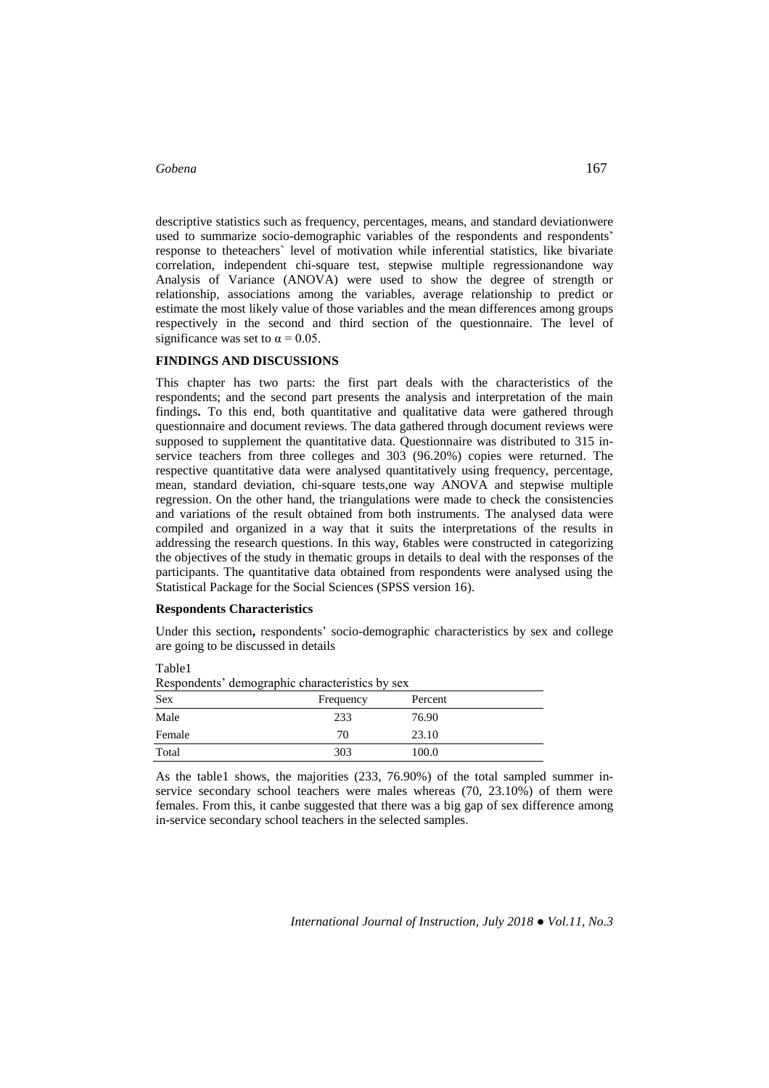descriptive statistics such as frequency, percentages, means, and standard deviationwere used to summarize socio-demographic variables of the respondents and respondents' response to theteachers` level of motivation while inferential statistics, like bivariate correlation, independent chi-square test, stepwise multiple regressionandone way Analysis of Variance (ANOVA) were used to show the degree of strength or relationship, associations among the variables, average relationship to predict or estimate the most likely value of those variables and the mean differences among groups respectively in the second and third section of the questionnaire. The level of significance was set to  $\alpha = 0.05$ .

#### **FINDINGS AND DISCUSSIONS**

This chapter has two parts: the first part deals with the characteristics of the respondents; and the second part presents the analysis and interpretation of the main findings**.** To this end, both quantitative and qualitative data were gathered through questionnaire and document reviews. The data gathered through document reviews were supposed to supplement the quantitative data. Questionnaire was distributed to 315 inservice teachers from three colleges and 303 (96.20%) copies were returned. The respective quantitative data were analysed quantitatively using frequency, percentage, mean, standard deviation, chi-square tests,one way ANOVA and stepwise multiple regression. On the other hand, the triangulations were made to check the consistencies and variations of the result obtained from both instruments. The analysed data were compiled and organized in a way that it suits the interpretations of the results in addressing the research questions. In this way, 6tables were constructed in categorizing the objectives of the study in thematic groups in details to deal with the responses of the participants. The quantitative data obtained from respondents were analysed using the Statistical Package for the Social Sciences (SPSS version 16).

#### **Respondents Characteristics**

Table1

Under this section**,** respondents' socio-demographic characteristics by sex and college are going to be discussed in details

| Respondents' demographic characteristics by sex |           |         |  |  |  |  |  |  |
|-------------------------------------------------|-----------|---------|--|--|--|--|--|--|
| <b>Sex</b>                                      | Frequency | Percent |  |  |  |  |  |  |
| Male                                            | 233       | 76.90   |  |  |  |  |  |  |
| Female                                          | 70        | 23.10   |  |  |  |  |  |  |
| Total                                           | 303       | 100.0   |  |  |  |  |  |  |

As the table1 shows, the majorities (233, 76.90%) of the total sampled summer inservice secondary school teachers were males whereas (70, 23.10%) of them were females. From this, it canbe suggested that there was a big gap of sex difference among in-service secondary school teachers in the selected samples.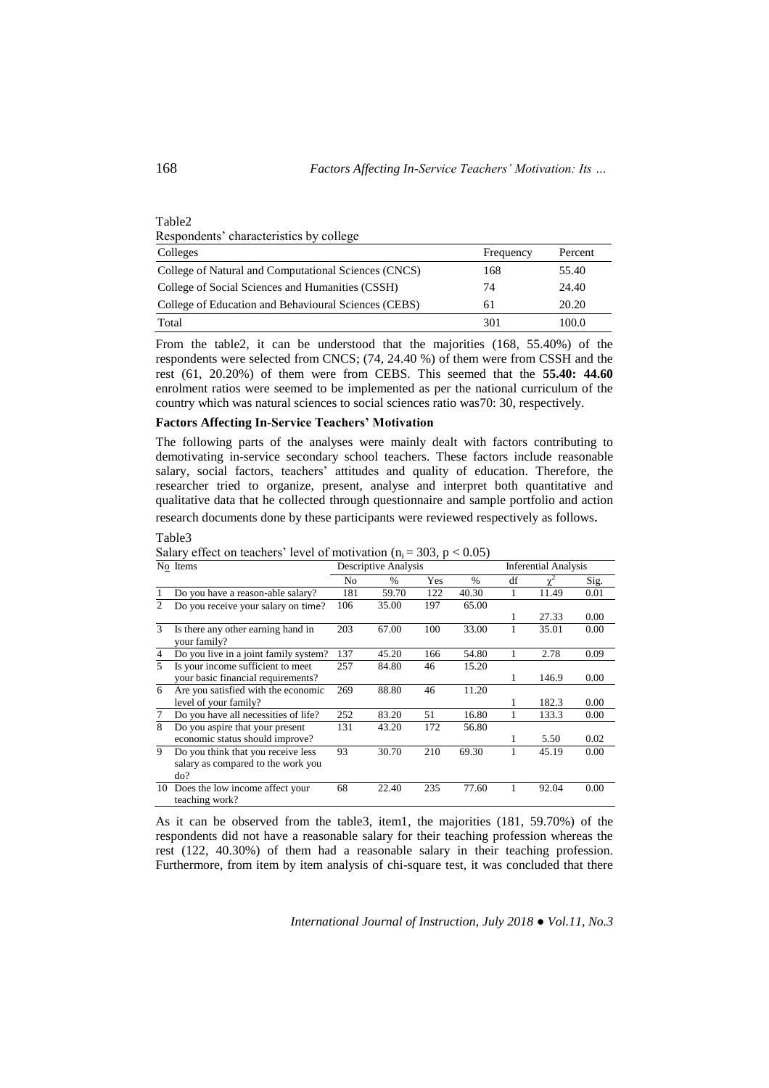| Table2                                               |           |         |
|------------------------------------------------------|-----------|---------|
| Respondents' characteristics by college              |           |         |
| Colleges                                             | Frequency | Percent |
| College of Natural and Computational Sciences (CNCS) | 168       | 55.40   |
| College of Social Sciences and Humanities (CSSH)     | 74        | 24.40   |
| College of Education and Behavioural Sciences (CEBS) | 61        | 20.20   |
| Total                                                | 301       | 100.0   |

From the table2, it can be understood that the majorities (168, 55.40%) of the respondents were selected from CNCS; (74, 24.40 %) of them were from CSSH and the rest (61, 20.20%) of them were from CEBS. This seemed that the **55.40: 44.60** enrolment ratios were seemed to be implemented as per the national curriculum of the country which was natural sciences to social sciences ratio was70: 30, respectively.

#### **Factors Affecting In-Service Teachers' Motivation**

The following parts of the analyses were mainly dealt with factors contributing to demotivating in-service secondary school teachers. These factors include reasonable salary, social factors, teachers' attitudes and quality of education. Therefore, the researcher tried to organize, present, analyse and interpret both quantitative and qualitative data that he collected through questionnaire and sample portfolio and action research documents done by these participants were reviewed respectively as follows.

#### Descriptive Analysis Inferential Analysis No % Yes % df χ 2 Sig. 1 Do you have a reason-able salary? 181 59.70 122 40.30 1 11.49 0.01 2 Do you receive your salary on time? 106 35.00 197 65.00 1 27.33 0.00 3 Is there any other earning hand in your family? 203 67.00 100 33.00 1 35.01 0.00 4 Do you live in a joint family system? 137 45.20 166 54.80 1 2.78 0.09 5 Is your income sufficient to meet your basic financial requirements? 257 84.80 46 15.20 1 146.9 0.00 6 Are you satisfied with the economic level of your family? 269 88.80 46 11.20  $\frac{1}{1}$  182.3 0.00<br>1 133.3 0.00 7 Do you have all necessities of life? 252 83.20 51 16.80 8 Do you aspire that your present economic status should improve? 131 43.20 172 56.80 1 5.50 0.02 9 Do you think that you receive less salary as compared to the work you do? 93 30.70 210 69.30 1 45.19 0.00 10 Does the low income affect your teaching work? 68 22.40 235 77.60 1 92.04 0.00

Salary effect on teachers' level of motivation ( $n_i = 303$ ,  $p < 0.05$ )<br>No Items Descriptive Analysis

As it can be observed from the table3, item1, the majorities (181, 59.70%) of the respondents did not have a reasonable salary for their teaching profession whereas the rest (122, 40.30%) of them had a reasonable salary in their teaching profession. Furthermore, from item by item analysis of chi-square test, it was concluded that there

*International Journal of Instruction, July 2018 ● Vol.11, No.3*

Table3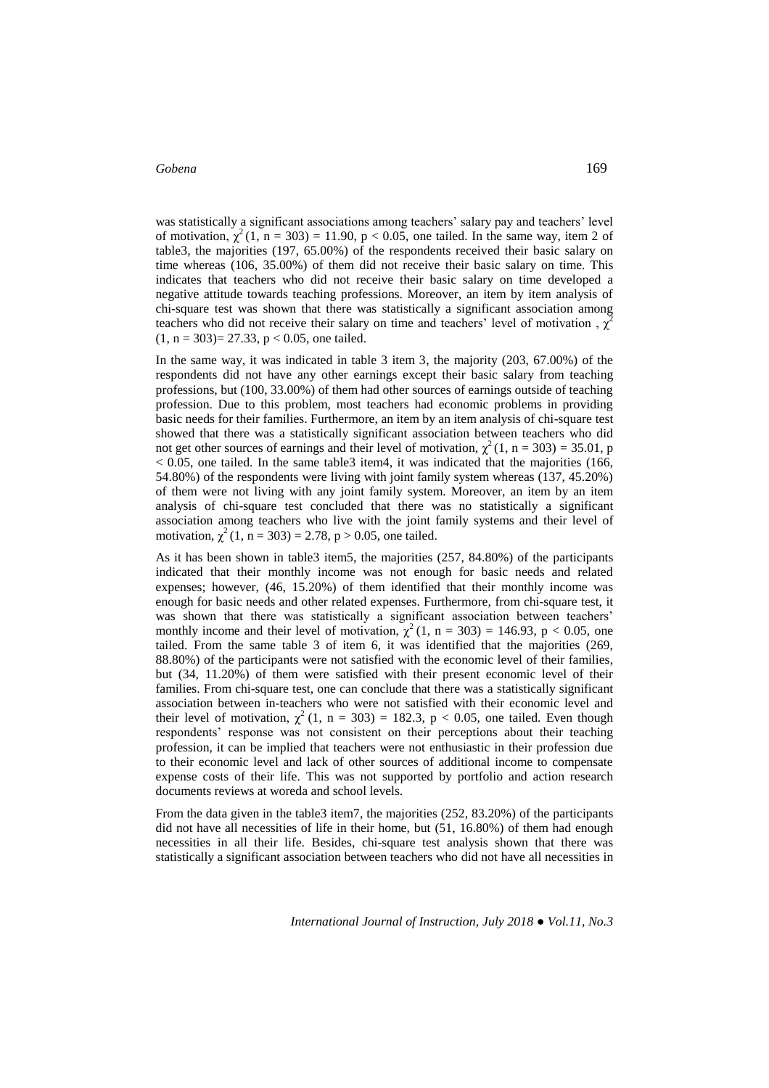was statistically a significant associations among teachers' salary pay and teachers' level of motivation,  $\chi^2(1, n = 303) = 11.90$ , p < 0.05, one tailed. In the same way, item 2 of table3, the majorities (197, 65.00%) of the respondents received their basic salary on time whereas (106, 35.00%) of them did not receive their basic salary on time. This indicates that teachers who did not receive their basic salary on time developed a negative attitude towards teaching professions. Moreover, an item by item analysis of chi-square test was shown that there was statistically a significant association among teachers who did not receive their salary on time and teachers' level of motivation,  $\chi^2$  $(1, n = 303) = 27.33, p < 0.05$ , one tailed.

In the same way, it was indicated in table 3 item 3, the majority (203, 67.00%) of the respondents did not have any other earnings except their basic salary from teaching professions, but (100, 33.00%) of them had other sources of earnings outside of teaching profession. Due to this problem, most teachers had economic problems in providing basic needs for their families. Furthermore, an item by an item analysis of chi-square test showed that there was a statistically significant association between teachers who did not get other sources of earnings and their level of motivation,  $\chi^2(1, n = 303) = 35.01$ , p  $< 0.05$ , one tailed. In the same table 3 item 4, it was indicated that the majorities (166, 54.80%) of the respondents were living with joint family system whereas (137, 45.20%) of them were not living with any joint family system. Moreover, an item by an item analysis of chi-square test concluded that there was no statistically a significant association among teachers who live with the joint family systems and their level of motivation,  $\chi^2(1, n = 303) = 2.78$ ,  $p > 0.05$ , one tailed.

As it has been shown in table3 item5, the majorities (257, 84.80%) of the participants indicated that their monthly income was not enough for basic needs and related expenses; however, (46, 15.20%) of them identified that their monthly income was enough for basic needs and other related expenses. Furthermore, from chi-square test, it was shown that there was statistically a significant association between teachers' monthly income and their level of motivation,  $\chi^2(1, n = 303) = 146.93$ , p < 0.05, one tailed. From the same table 3 of item 6, it was identified that the majorities (269, 88.80%) of the participants were not satisfied with the economic level of their families, but (34, 11.20%) of them were satisfied with their present economic level of their families. From chi-square test, one can conclude that there was a statistically significant association between in-teachers who were not satisfied with their economic level and their level of motivation,  $\chi^2(1, n = 303) = 182.3$ ,  $p < 0.05$ , one tailed. Even though respondents' response was not consistent on their perceptions about their teaching profession, it can be implied that teachers were not enthusiastic in their profession due to their economic level and lack of other sources of additional income to compensate expense costs of their life. This was not supported by portfolio and action research documents reviews at woreda and school levels.

From the data given in the table3 item7, the majorities (252, 83.20%) of the participants did not have all necessities of life in their home, but (51, 16.80%) of them had enough necessities in all their life. Besides, chi-square test analysis shown that there was statistically a significant association between teachers who did not have all necessities in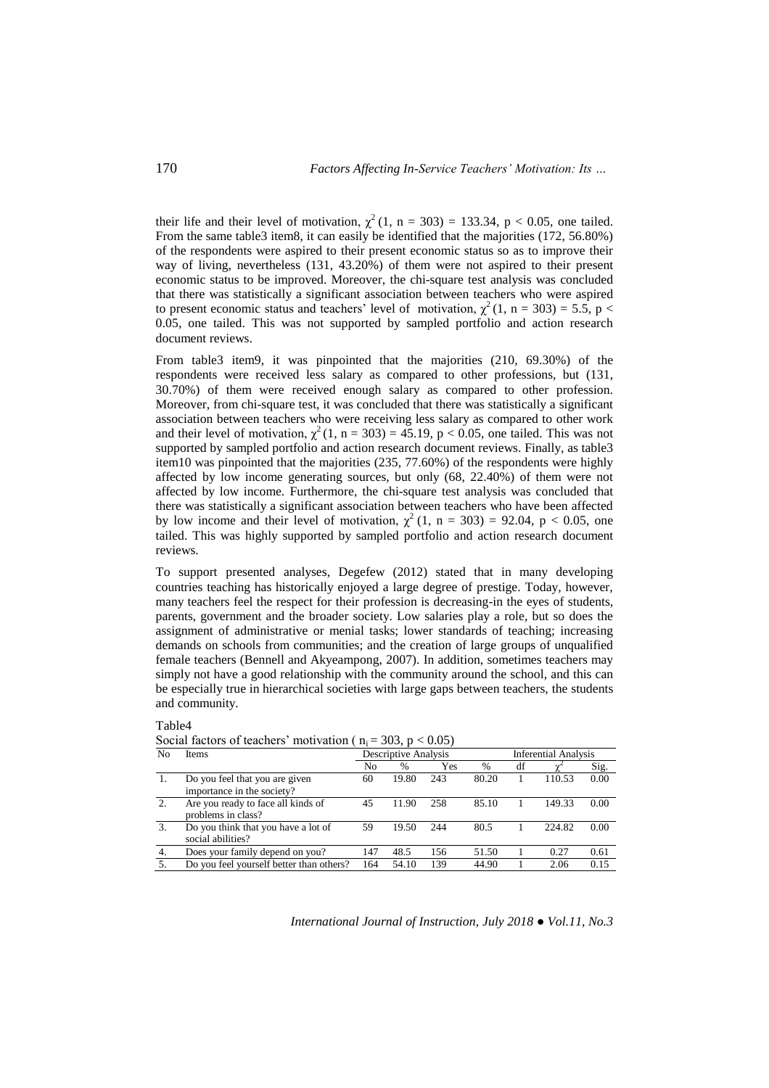their life and their level of motivation,  $\chi^2(1, n = 303) = 133.34$ ,  $p < 0.05$ , one tailed. From the same table3 item8, it can easily be identified that the majorities (172, 56.80%) of the respondents were aspired to their present economic status so as to improve their way of living, nevertheless (131, 43.20%) of them were not aspired to their present economic status to be improved. Moreover, the chi-square test analysis was concluded that there was statistically a significant association between teachers who were aspired to present economic status and teachers' level of motivation,  $\chi^2(1, n = 303) = 5.5$ , p < 0.05, one tailed. This was not supported by sampled portfolio and action research document reviews.

From table3 item9, it was pinpointed that the majorities (210, 69.30%) of the respondents were received less salary as compared to other professions, but (131, 30.70%) of them were received enough salary as compared to other profession. Moreover, from chi-square test, it was concluded that there was statistically a significant association between teachers who were receiving less salary as compared to other work and their level of motivation,  $\chi^2(1, n = 303) = 45.19$ , p < 0.05, one tailed. This was not supported by sampled portfolio and action research document reviews. Finally, as table3 item10 was pinpointed that the majorities (235, 77.60%) of the respondents were highly affected by low income generating sources, but only (68, 22.40%) of them were not affected by low income. Furthermore, the chi-square test analysis was concluded that there was statistically a significant association between teachers who have been affected by low income and their level of motivation,  $\chi^2(1, n = 303) = 92.04$ , p < 0.05, one tailed. This was highly supported by sampled portfolio and action research document reviews.

To support presented analyses, Degefew (2012) stated that in many developing countries teaching has historically enjoyed a large degree of prestige. Today, however, many teachers feel the respect for their profession is decreasing-in the eyes of students, parents, government and the broader society. Low salaries play a role, but so does the assignment of administrative or menial tasks; lower standards of teaching; increasing demands on schools from communities; and the creation of large groups of unqualified female teachers (Bennell and Akyeampong, 2007). In addition, sometimes teachers may simply not have a good relationship with the community around the school, and this can be especially true in hierarchical societies with large gaps between teachers, the students and community.

| No | <b>Items</b>                                                 |     | <b>Descriptive Analysis</b> |     | <b>Inferential Analysis</b> |    |        |      |
|----|--------------------------------------------------------------|-----|-----------------------------|-----|-----------------------------|----|--------|------|
|    |                                                              | No  | $\%$                        | Yes | $\%$                        | df |        | Sig. |
| 1. | Do you feel that you are given<br>importance in the society? | 60  | 19.80                       | 243 | 80.20                       |    | 110.53 | 0.00 |
| 2. | Are you ready to face all kinds of<br>problems in class?     | 45  | 11.90                       | 258 | 85.10                       |    | 149.33 | 0.00 |
| 3. | Do you think that you have a lot of<br>social abilities?     | 59  | 19.50                       | 244 | 80.5                        |    | 224.82 | 0.00 |
| 4. | Does your family depend on you?                              | 147 | 48.5                        | 156 | 51.50                       |    | 0.27   | 0.61 |
| 5. | Do you feel yourself better than others?                     | 164 | 54.10                       | 139 | 44.90                       |    | 2.06   | 0.15 |

|  | Social factors of teachers' motivation ( $n_i = 303$ , $p < 0.05$ ) |  |  |  |
|--|---------------------------------------------------------------------|--|--|--|
|--|---------------------------------------------------------------------|--|--|--|

*International Journal of Instruction, July 2018 ● Vol.11, No.3*

Table4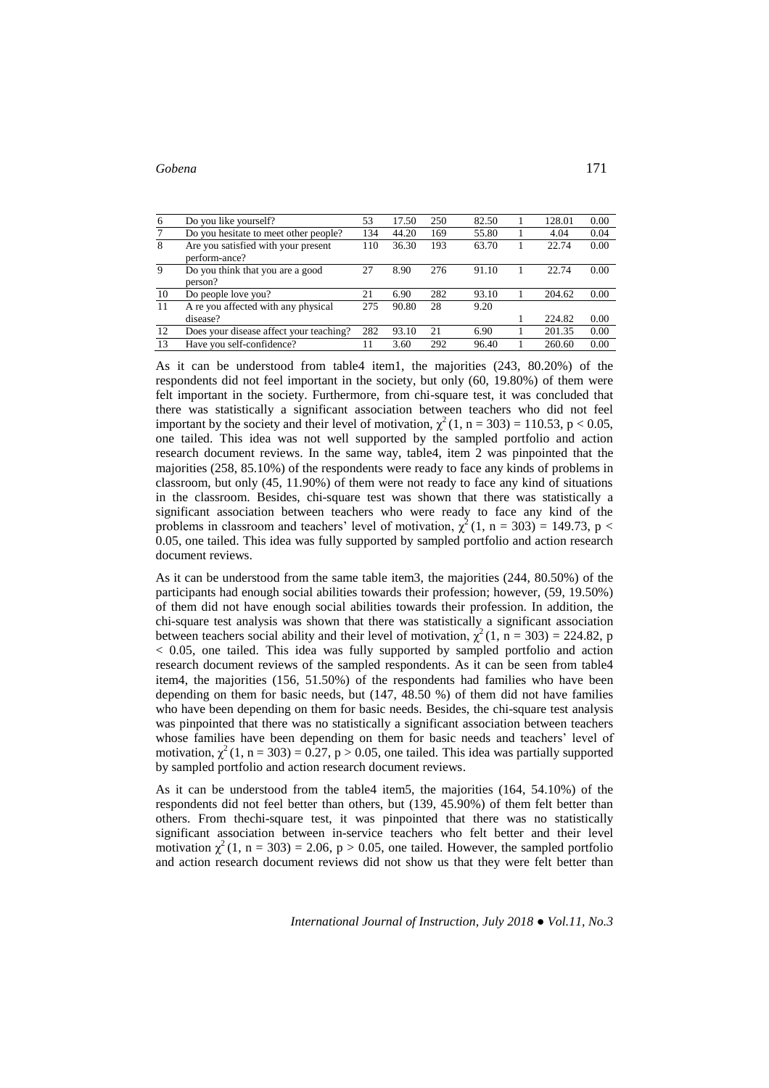| 6               | Do you like yourself?                                | 53  | 17.50 | 250 | 82.50 | 128.01 | 0.00 |
|-----------------|------------------------------------------------------|-----|-------|-----|-------|--------|------|
| $7\phantom{.0}$ | Do you hesitate to meet other people?                | 134 | 44.20 | 169 | 55.80 | 4.04   | 0.04 |
| 8               | Are you satisfied with your present<br>perform-ance? | 110 | 36.30 | 193 | 63.70 | 22.74  | 0.00 |
| 9               | Do you think that you are a good                     | 27  | 8.90  | 276 | 91.10 | 22.74  | 0.00 |
|                 | person?                                              |     |       |     |       |        |      |
| 10              | Do people love you?                                  | 21  | 6.90  | 282 | 93.10 | 204.62 | 0.00 |
| 11              | A re you affected with any physical                  | 275 | 90.80 | 28  | 9.20  |        |      |
|                 | disease?                                             |     |       |     |       | 224.82 | 0.00 |
| 12              | Does your disease affect your teaching?              | 282 | 93.10 | 21  | 6.90  | 201.35 | 0.00 |
| 13              | Have you self-confidence?                            | 11  | 3.60  | 292 | 96.40 | 260.60 | 0.00 |

As it can be understood from table4 item1, the majorities (243, 80.20%) of the respondents did not feel important in the society, but only (60, 19.80%) of them were felt important in the society. Furthermore, from chi-square test, it was concluded that there was statistically a significant association between teachers who did not feel important by the society and their level of motivation,  $\chi^2(1, n = 303) = 110.53$ , p < 0.05, one tailed. This idea was not well supported by the sampled portfolio and action research document reviews. In the same way, table4, item 2 was pinpointed that the majorities (258, 85.10%) of the respondents were ready to face any kinds of problems in classroom, but only (45, 11.90%) of them were not ready to face any kind of situations in the classroom. Besides, chi-square test was shown that there was statistically a significant association between teachers who were ready to face any kind of the problems in classroom and teachers' level of motivation,  $\chi^2(1, n = 303) = 149.73$ , p < 0.05, one tailed. This idea was fully supported by sampled portfolio and action research document reviews.

As it can be understood from the same table item3, the majorities (244, 80.50%) of the participants had enough social abilities towards their profession; however, (59, 19.50%) of them did not have enough social abilities towards their profession. In addition, the chi-square test analysis was shown that there was statistically a significant association between teachers social ability and their level of motivation,  $\chi^2(1, n = 303) = 224.82$ , p < 0.05, one tailed. This idea was fully supported by sampled portfolio and action research document reviews of the sampled respondents. As it can be seen from table4 item4, the majorities (156, 51.50%) of the respondents had families who have been depending on them for basic needs, but (147, 48.50 %) of them did not have families who have been depending on them for basic needs. Besides, the chi-square test analysis was pinpointed that there was no statistically a significant association between teachers whose families have been depending on them for basic needs and teachers' level of motivation,  $\chi^2(1, n = 303) = 0.27$ ,  $p > 0.05$ , one tailed. This idea was partially supported by sampled portfolio and action research document reviews.

As it can be understood from the table4 item5, the majorities (164, 54.10%) of the respondents did not feel better than others, but (139, 45.90%) of them felt better than others. From thechi-square test, it was pinpointed that there was no statistically significant association between in-service teachers who felt better and their level motivation  $\chi^2$  (1, n = 303) = 2.06, p > 0.05, one tailed. However, the sampled portfolio and action research document reviews did not show us that they were felt better than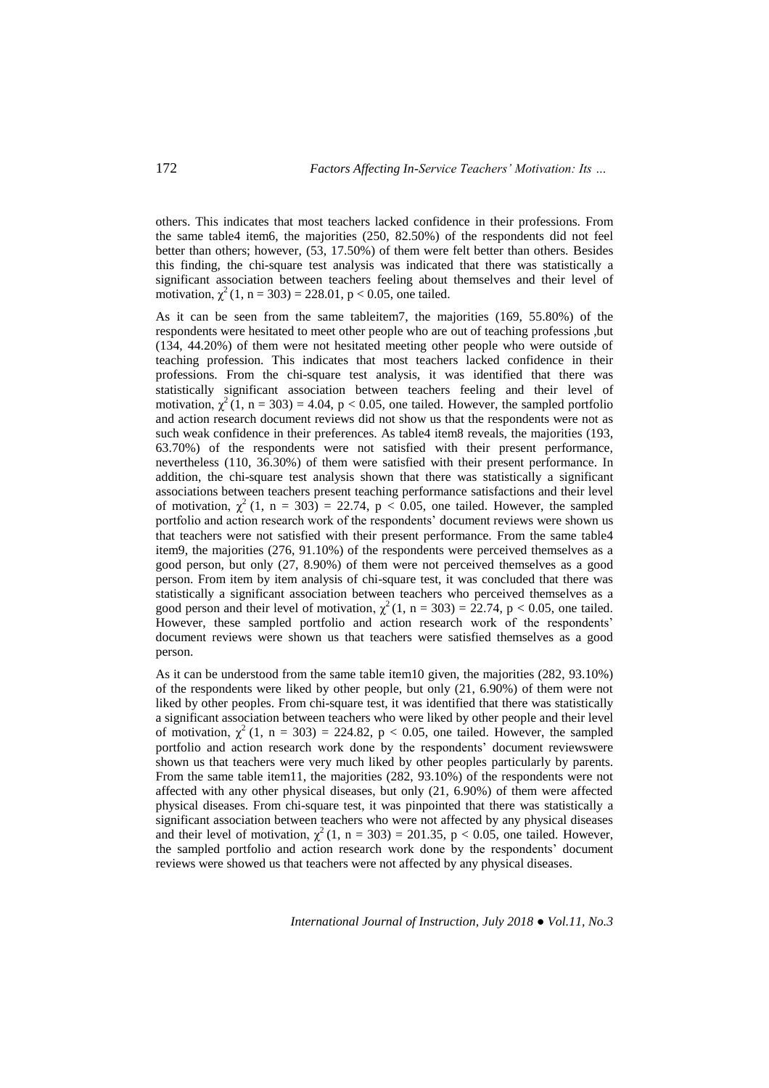others. This indicates that most teachers lacked confidence in their professions. From the same table4 item6, the majorities (250, 82.50%) of the respondents did not feel better than others; however, (53, 17.50%) of them were felt better than others. Besides this finding, the chi-square test analysis was indicated that there was statistically a significant association between teachers feeling about themselves and their level of motivation,  $\chi^2(1, n = 303) = 228.01$ , p < 0.05, one tailed.

As it can be seen from the same tableitem7, the majorities (169, 55.80%) of the respondents were hesitated to meet other people who are out of teaching professions ,but (134, 44.20%) of them were not hesitated meeting other people who were outside of teaching profession. This indicates that most teachers lacked confidence in their professions. From the chi-square test analysis, it was identified that there was statistically significant association between teachers feeling and their level of motivation,  $\chi^2(1, n = 303) = 4.04$ , p < 0.05, one tailed. However, the sampled portfolio and action research document reviews did not show us that the respondents were not as such weak confidence in their preferences. As table4 item8 reveals, the majorities (193, 63.70%) of the respondents were not satisfied with their present performance, nevertheless (110, 36.30%) of them were satisfied with their present performance. In addition, the chi-square test analysis shown that there was statistically a significant associations between teachers present teaching performance satisfactions and their level of motivation,  $\chi^2(1, n = 303) = 22.74$ ,  $p < 0.05$ , one tailed. However, the sampled portfolio and action research work of the respondents' document reviews were shown us that teachers were not satisfied with their present performance. From the same table4 item9, the majorities (276, 91.10%) of the respondents were perceived themselves as a good person, but only (27, 8.90%) of them were not perceived themselves as a good person. From item by item analysis of chi-square test, it was concluded that there was statistically a significant association between teachers who perceived themselves as a good person and their level of motivation,  $\chi^2(1, n = 303) = 22.74$ , p < 0.05, one tailed. However, these sampled portfolio and action research work of the respondents' document reviews were shown us that teachers were satisfied themselves as a good person.

As it can be understood from the same table item10 given, the majorities (282, 93.10%) of the respondents were liked by other people, but only (21, 6.90%) of them were not liked by other peoples. From chi-square test, it was identified that there was statistically a significant association between teachers who were liked by other people and their level of motivation,  $\chi^2(1, n = 303) = 224.82$ ,  $p < 0.05$ , one tailed. However, the sampled portfolio and action research work done by the respondents' document reviewswere shown us that teachers were very much liked by other peoples particularly by parents. From the same table item11, the majorities (282, 93.10%) of the respondents were not affected with any other physical diseases, but only (21, 6.90%) of them were affected physical diseases. From chi-square test, it was pinpointed that there was statistically a significant association between teachers who were not affected by any physical diseases and their level of motivation,  $\chi^2(1, n = 303) = 201.35$ , p < 0.05, one tailed. However, the sampled portfolio and action research work done by the respondents' document reviews were showed us that teachers were not affected by any physical diseases.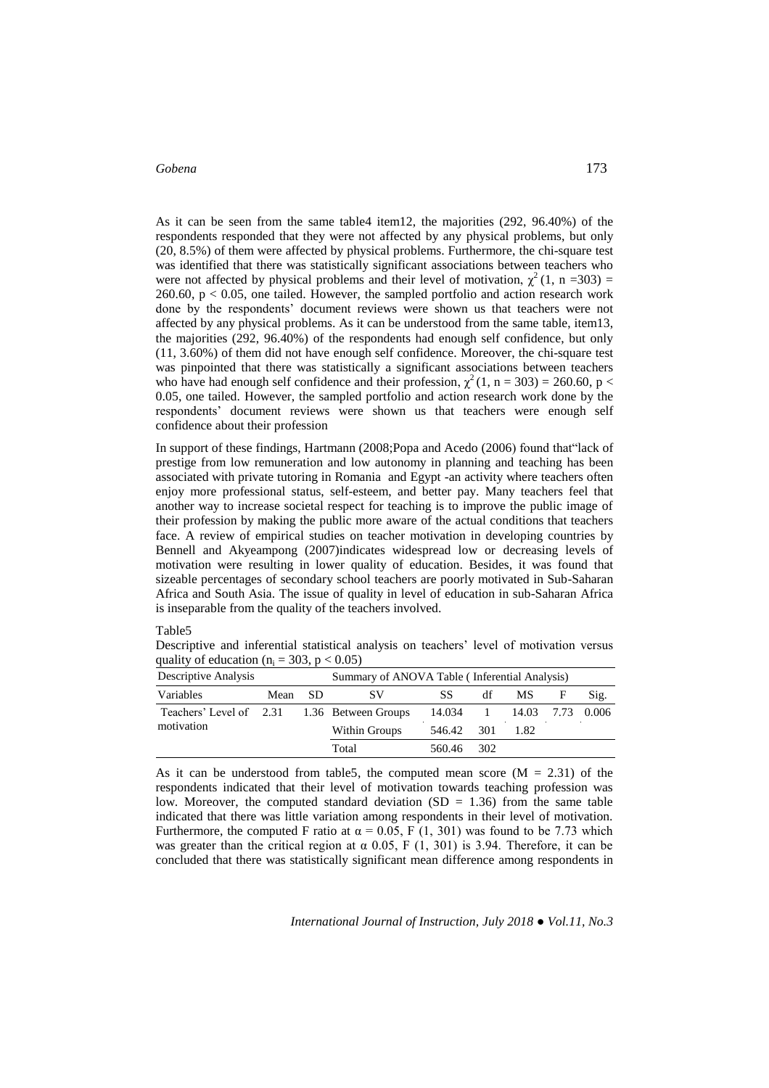As it can be seen from the same table4 item12, the majorities (292, 96.40%) of the respondents responded that they were not affected by any physical problems, but only (20, 8.5%) of them were affected by physical problems. Furthermore, the chi-square test was identified that there was statistically significant associations between teachers who were not affected by physical problems and their level of motivation,  $\chi^2(1, n = 303)$  = 260.60,  $p < 0.05$ , one tailed. However, the sampled portfolio and action research work done by the respondents' document reviews were shown us that teachers were not affected by any physical problems. As it can be understood from the same table, item13, the majorities (292, 96.40%) of the respondents had enough self confidence, but only (11, 3.60%) of them did not have enough self confidence. Moreover, the chi-square test was pinpointed that there was statistically a significant associations between teachers who have had enough self confidence and their profession,  $\chi^2(1, n = 303) = 260.60$ , p < 0.05, one tailed. However, the sampled portfolio and action research work done by the respondents' document reviews were shown us that teachers were enough self confidence about their profession

In support of these findings, Hartmann (2008;Popa and Acedo (2006) found that"lack of prestige from low remuneration and low autonomy in planning and teaching has been associated with private tutoring in Romania and Egypt -an activity where teachers often enjoy more professional status, self-esteem, and better pay. Many teachers feel that another way to increase societal respect for teaching is to improve the public image of their profession by making the public more aware of the actual conditions that teachers face. A review of empirical studies on teacher motivation in developing countries by Bennell and Akyeampong (2007)indicates widespread low or decreasing levels of motivation were resulting in lower quality of education. Besides, it was found that sizeable percentages of secondary school teachers are poorly motivated in Sub-Saharan Africa and South Asia. The issue of quality in level of education in sub-Saharan Africa is inseparable from the quality of the teachers involved.

#### Table5

Descriptive and inferential statistical analysis on teachers' level of motivation versus quality of education ( $n_i = 303$ ,  $p < 0.05$ )

| Descriptive Analysis    |      | Summary of ANOVA Table (Inferential Analysis) |                     |        |      |            |   |       |
|-------------------------|------|-----------------------------------------------|---------------------|--------|------|------------|---|-------|
| Variables               | Mean | -SD                                           | <b>SV</b>           | SS     | df   | MS.        | F | Sig.  |
| Teachers' Level of 2.31 |      |                                               | 1.36 Between Groups | 14.034 |      | 14.03 7.73 |   | 0.006 |
| motivation              |      |                                               | Within Groups       | 546.42 | -301 | 1.82       |   |       |
|                         |      |                                               | Total               | 560.46 | 302  |            |   |       |

As it can be understood from table5, the computed mean score  $(M = 2.31)$  of the respondents indicated that their level of motivation towards teaching profession was low. Moreover, the computed standard deviation  $(SD = 1.36)$  from the same table indicated that there was little variation among respondents in their level of motivation. Furthermore, the computed F ratio at  $\alpha = 0.05$ , F (1, 301) was found to be 7.73 which was greater than the critical region at  $\alpha$  0.05, F (1, 301) is 3.94. Therefore, it can be concluded that there was statistically significant mean difference among respondents in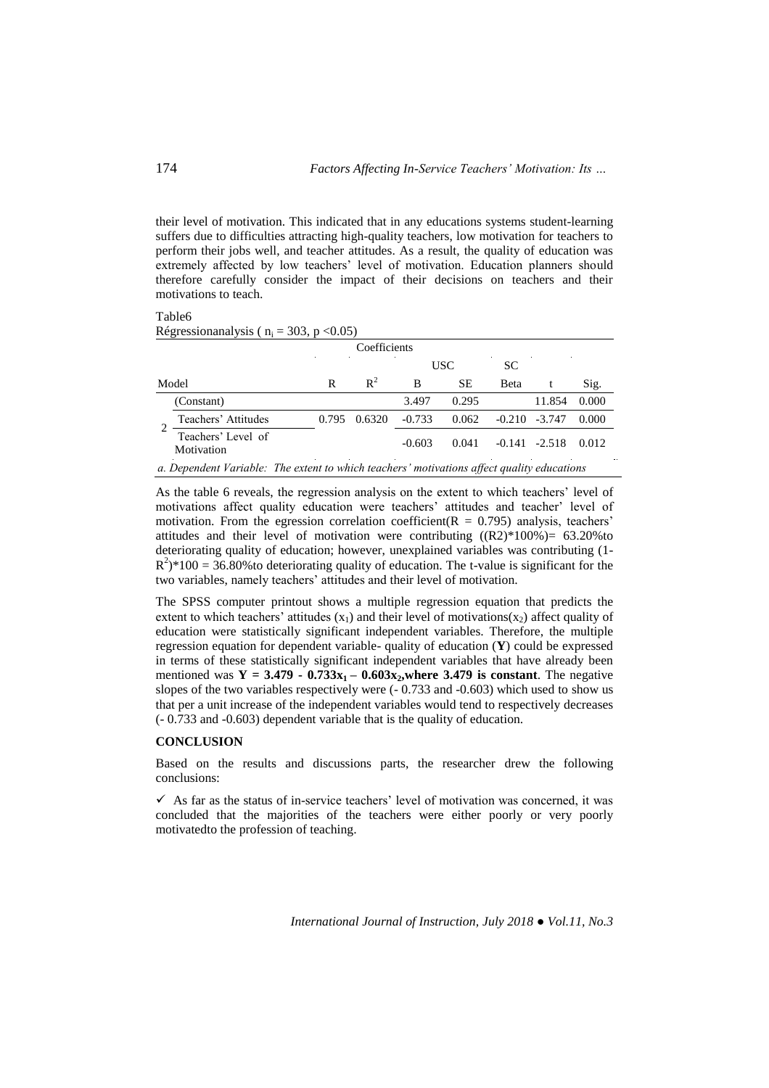their level of motivation. This indicated that in any educations systems student-learning suffers due to difficulties attracting high-quality teachers, low motivation for teachers to perform their jobs well, and teacher attitudes. As a result, the quality of education was extremely affected by low teachers' level of motivation. Education planners should therefore carefully consider the impact of their decisions on teachers and their motivations to teach.

#### Table6

Régressionanalysis ( $n_i = 303$ ,  $p < 0.05$ )

| Coefficients |                                                                                            |       |                |          |           |             |                  |       |  |  |
|--------------|--------------------------------------------------------------------------------------------|-------|----------------|----------|-----------|-------------|------------------|-------|--|--|
|              | USC<br>SC.                                                                                 |       |                |          |           |             |                  |       |  |  |
|              | Model                                                                                      | R     | $\mathbb{R}^2$ | В        | <b>SE</b> | <b>Beta</b> |                  | Sig.  |  |  |
|              | (Constant)                                                                                 |       |                | 3.497    | 0.295     |             | 11.854           | 0.000 |  |  |
|              | Teachers' Attitudes                                                                        | 0.795 | 0.6320         | $-0.733$ | 0.062     | $-0.210$    | $-3.747$         | 0.000 |  |  |
|              | Teachers' Level of<br>Motivation                                                           |       |                | $-0.603$ | 0.041     |             | $-0.141 - 2.518$ | 0.012 |  |  |
|              | a. Dependent Variable: The extent to which teachers' motivations affect quality educations |       |                |          |           |             |                  |       |  |  |

As the table 6 reveals, the regression analysis on the extent to which teachers' level of motivations affect quality education were teachers' attitudes and teacher' level of motivation. From the egression correlation coefficient( $R = 0.795$ ) analysis, teachers' attitudes and their level of motivation were contributing  $((R2)*100%) = 63.20%$  to deteriorating quality of education; however, unexplained variables was contributing (1-  $R^2$ <sup>2</sup>/\*100 = 36.80% to deteriorating quality of education. The t-value is significant for the two variables, namely teachers' attitudes and their level of motivation.

The SPSS computer printout shows a multiple regression equation that predicts the extent to which teachers' attitudes  $(x_1)$  and their level of motivations $(x_2)$  affect quality of education were statistically significant independent variables. Therefore, the multiple regression equation for dependent variable- quality of education (**Y**) could be expressed in terms of these statistically significant independent variables that have already been mentioned was  $Y = 3.479 - 0.733x_1 - 0.603x_2$ , where 3.479 is constant. The negative slopes of the two variables respectively were (- 0.733 and -0.603) which used to show us that per a unit increase of the independent variables would tend to respectively decreases (- 0.733 and -0.603) dependent variable that is the quality of education.

## **CONCLUSION**

Based on the results and discussions parts, the researcher drew the following conclusions:

 $\checkmark$  As far as the status of in-service teachers' level of motivation was concerned, it was concluded that the majorities of the teachers were either poorly or very poorly motivatedto the profession of teaching.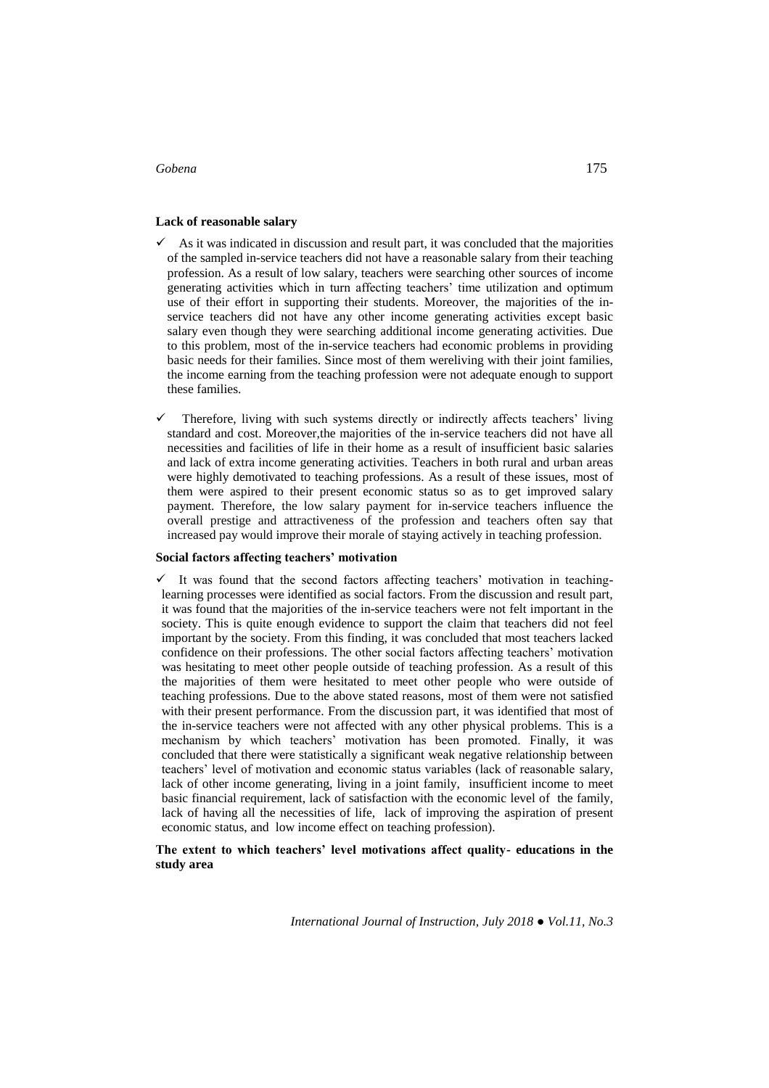## **Lack of reasonable salary**

- $\checkmark$  As it was indicated in discussion and result part, it was concluded that the majorities of the sampled in-service teachers did not have a reasonable salary from their teaching profession. As a result of low salary, teachers were searching other sources of income generating activities which in turn affecting teachers' time utilization and optimum use of their effort in supporting their students. Moreover, the majorities of the inservice teachers did not have any other income generating activities except basic salary even though they were searching additional income generating activities. Due to this problem, most of the in-service teachers had economic problems in providing basic needs for their families. Since most of them wereliving with their joint families, the income earning from the teaching profession were not adequate enough to support these families.
- $\checkmark$  Therefore, living with such systems directly or indirectly affects teachers' living standard and cost. Moreover,the majorities of the in-service teachers did not have all necessities and facilities of life in their home as a result of insufficient basic salaries and lack of extra income generating activities. Teachers in both rural and urban areas were highly demotivated to teaching professions. As a result of these issues, most of them were aspired to their present economic status so as to get improved salary payment. Therefore, the low salary payment for in-service teachers influence the overall prestige and attractiveness of the profession and teachers often say that increased pay would improve their morale of staying actively in teaching profession.

#### **Social factors affecting teachers' motivation**

 $\checkmark$  It was found that the second factors affecting teachers' motivation in teachinglearning processes were identified as social factors. From the discussion and result part, it was found that the majorities of the in-service teachers were not felt important in the society. This is quite enough evidence to support the claim that teachers did not feel important by the society. From this finding, it was concluded that most teachers lacked confidence on their professions. The other social factors affecting teachers' motivation was hesitating to meet other people outside of teaching profession. As a result of this the majorities of them were hesitated to meet other people who were outside of teaching professions. Due to the above stated reasons, most of them were not satisfied with their present performance. From the discussion part, it was identified that most of the in-service teachers were not affected with any other physical problems. This is a mechanism by which teachers' motivation has been promoted. Finally, it was concluded that there were statistically a significant weak negative relationship between teachers' level of motivation and economic status variables (lack of reasonable salary, lack of other income generating, living in a joint family, insufficient income to meet basic financial requirement, lack of satisfaction with the economic level of the family, lack of having all the necessities of life, lack of improving the aspiration of present economic status, and low income effect on teaching profession).

### **The extent to which teachers' level motivations affect quality- educations in the study area**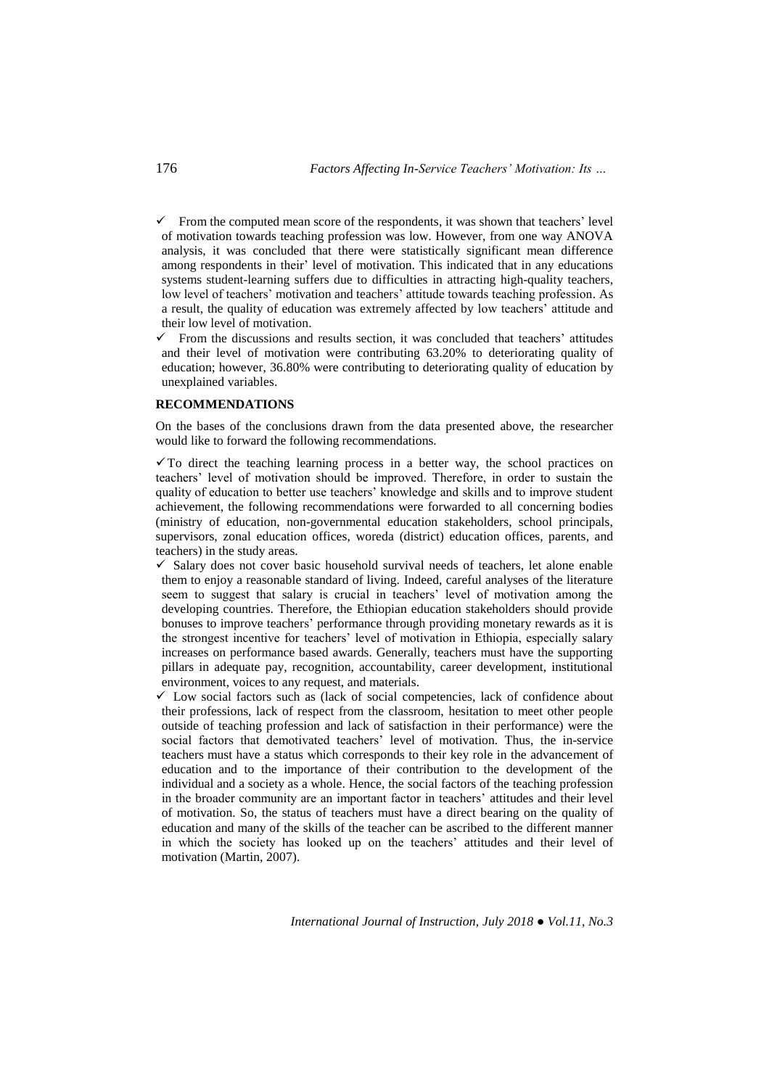$\checkmark$  From the computed mean score of the respondents, it was shown that teachers' level of motivation towards teaching profession was low. However, from one way ANOVA analysis, it was concluded that there were statistically significant mean difference among respondents in their' level of motivation. This indicated that in any educations systems student-learning suffers due to difficulties in attracting high-quality teachers, low level of teachers' motivation and teachers' attitude towards teaching profession. As a result, the quality of education was extremely affected by low teachers' attitude and their low level of motivation.

 $\checkmark$  From the discussions and results section, it was concluded that teachers' attitudes and their level of motivation were contributing 63.20% to deteriorating quality of education; however, 36.80% were contributing to deteriorating quality of education by unexplained variables.

### **RECOMMENDATIONS**

On the bases of the conclusions drawn from the data presented above, the researcher would like to forward the following recommendations.

 $\checkmark$  To direct the teaching learning process in a better way, the school practices on teachers' level of motivation should be improved. Therefore, in order to sustain the quality of education to better use teachers' knowledge and skills and to improve student achievement, the following recommendations were forwarded to all concerning bodies (ministry of education, non-governmental education stakeholders, school principals, supervisors, zonal education offices, woreda (district) education offices, parents, and teachers) in the study areas.

- $\checkmark$  Salary does not cover basic household survival needs of teachers, let alone enable them to enjoy a reasonable standard of living. Indeed, careful analyses of the literature seem to suggest that salary is crucial in teachers' level of motivation among the developing countries. Therefore, the Ethiopian education stakeholders should provide bonuses to improve teachers' performance through providing monetary rewards as it is the strongest incentive for teachers' level of motivation in Ethiopia, especially salary increases on performance based awards. Generally, teachers must have the supporting pillars in adequate pay, recognition, accountability, career development, institutional environment, voices to any request, and materials.
- $\checkmark$  Low social factors such as (lack of social competencies, lack of confidence about their professions, lack of respect from the classroom, hesitation to meet other people outside of teaching profession and lack of satisfaction in their performance) were the social factors that demotivated teachers' level of motivation. Thus, the in-service teachers must have a status which corresponds to their key role in the advancement of education and to the importance of their contribution to the development of the individual and a society as a whole. Hence, the social factors of the teaching profession in the broader community are an important factor in teachers' attitudes and their level of motivation. So, the status of teachers must have a direct bearing on the quality of education and many of the skills of the teacher can be ascribed to the different manner in which the society has looked up on the teachers' attitudes and their level of motivation (Martin, 2007).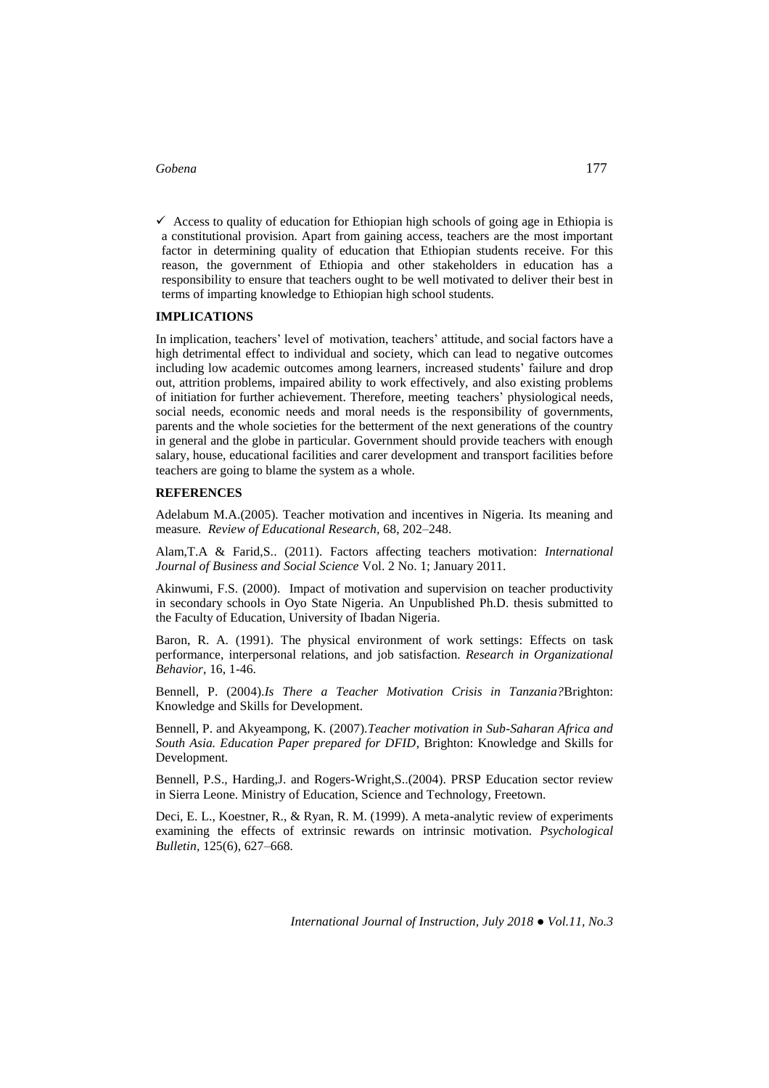$\checkmark$  Access to quality of education for Ethiopian high schools of going age in Ethiopia is a constitutional provision. Apart from gaining access, teachers are the most important factor in determining quality of education that Ethiopian students receive. For this reason, the government of Ethiopia and other stakeholders in education has a responsibility to ensure that teachers ought to be well motivated to deliver their best in terms of imparting knowledge to Ethiopian high school students.

## **IMPLICATIONS**

In implication, teachers' level of motivation, teachers' attitude, and social factors have a high detrimental effect to individual and society, which can lead to negative outcomes including low academic outcomes among learners, increased students' failure and drop out, attrition problems, impaired ability to work effectively, and also existing problems of initiation for further achievement. Therefore, meeting teachers' physiological needs, social needs, economic needs and moral needs is the responsibility of governments, parents and the whole societies for the betterment of the next generations of the country in general and the globe in particular. Government should provide teachers with enough salary, house, educational facilities and carer development and transport facilities before teachers are going to blame the system as a whole.

#### **REFERENCES**

Adelabum M.A.(2005). Teacher motivation and incentives in Nigeria. Its meaning and measure*. Review of Educational Research,* 68, 202–248.

Alam,T.A & Farid,S.. (2011). Factors affecting teachers motivation: *International Journal of Business and Social Science* Vol. 2 No. 1; January 2011.

Akinwumi, F.S. (2000). Impact of motivation and supervision on teacher productivity in secondary schools in Oyo State Nigeria. An Unpublished Ph.D. thesis submitted to the Faculty of Education, University of Ibadan Nigeria.

Baron, R. A. (1991). The physical environment of work settings: Effects on task performance, interpersonal relations, and job satisfaction. *Research in Organizational Behavior*, 16, 1-46.

Bennell, P. (2004).*Is There a Teacher Motivation Crisis in Tanzania?*Brighton: Knowledge and Skills for Development.

Bennell, P. and Akyeampong, K. (2007).*Teacher motivation in Sub-Saharan Africa and South Asia. Education Paper prepared for DFID*, Brighton: Knowledge and Skills for Development.

Bennell, P.S., Harding,J. and Rogers-Wright,S..(2004). PRSP Education sector review in Sierra Leone. Ministry of Education, Science and Technology, Freetown.

Deci, E. L., Koestner, R., & Ryan, R. M. (1999). A meta-analytic review of experiments examining the effects of extrinsic rewards on intrinsic motivation. *Psychological Bulletin,* 125(6), 627–668*.*